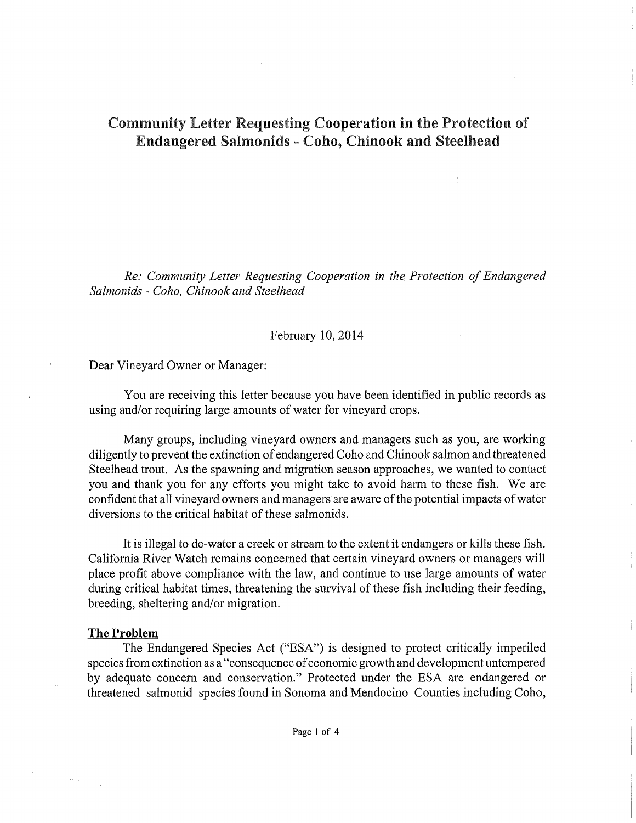# Community Letter Requesting Cooperation in the Protection of Endangered Salmonids - Coho, Chinook and Steelhead

Re: Community Letter Requesting Cooperation in the Protection of Endangered Salmonids - Coho, Chinook and Steelhead

### February 10, 2014

Dear Vineyard Owner or Manager:

You are receiving this letter because you have been identified in public records as using and/or requiring large amounts of water for vineyard crops.

Many groups, including vineyard owners and managers such as you, are working diligently to prevent the extinction of endangered Coho and Chinook salmon and threatened Steelhead trout. As the spawning and migration season approaches, we wanted to contact you and thank you for any efforts you might take to avoid harm to these fish. We are confident that all vineyard owners and managers are aware of the potential impacts of water diversions to the critical habitat of these salmonids.

It is illegal to de-water a creek or stream to the extent it endangers or kills these fish. California River Watch remains concerned that certain vineyard owners or managers will place profit above compliance with the law, and continue to use large amounts of water during critical habitat times, threatening the survival of these fish including their feeding, breeding, sheltering and/or migration.

#### The Problem

 $\sim 50\,L_{\odot}$  .

The Endangered Species Act ("ESA") is designed to protect critically imperiled species from extinction as a "consequence of economic growth and development untempered by adequate concern and conservation." Protected under the ESA are endangered or threatened salmonid species found in Sonoma and Mendocino Counties including Coho,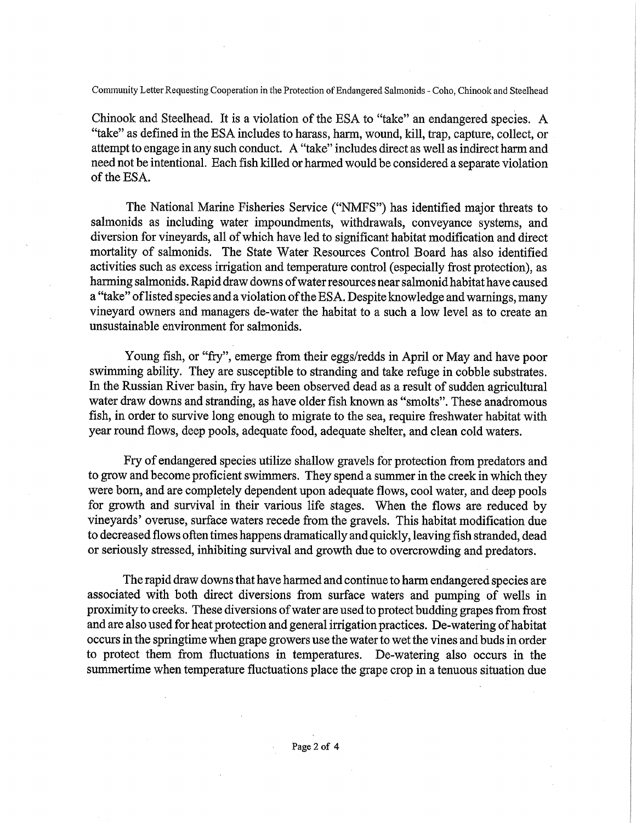Community Letter Requesting Cooperation in the Protection of Endangered Salmonids - Coho, Chinook and Steelhead

Chinook and Steelhead. It is a violation of the ESA to "take" an endangered species. A "take" as defined in the ESA includes to harass, harm, wound, kill, trap, capture, collect, or attempt to engage in any such conduct. A "take" includes direct as well as indirect harm and need not be intentional. Each fish killed or harmed would be considered a separate violarion of the ESA.

The National Marine Fisheries Service ("NMFS") has identified major threats to salmonids as including water impoundments, withdrawals, conveyance systems, and diversion for vineyards, all of which have led to significant habitat modification and direct mortality of salmonids. The State Water Resources Control Board has also identified activities such as excess irrigation and temperature control (especially frost protection}, as harming salmonids. Rapid draw downs of water resources near salmonid habitat have caused a "take" of listed species and a violation ofthe ESA. Despite knowledge and warnings, many vineyard owners and managers de-water the habitat to a such a low level as to create an unsustainable environment for salmonids.

Young fish, or "fry", emerge from their eggs/redds in April or May and have poor swimming ability. They are susceptible to stranding and take refuge in cobble substrates. In the Russian River basin, fry have been observed dead as a result of sudden agricultural water draw downs and stranding, as have older fish known as "smolts". These anadromous fish, in order to survive long enough to migrate to the sea, require freshwater habitat with year round flows, deep pools, adequate food, adequate shelter, and clean cold waters.

Fry of endangered species utilize shallow gravels for protection from predators and to grow and become proficient swimmers. They spend a summer in the creek in which they were born, and are completely dependent upon adequate flows, cool water, and deep pools for growth and survival in their various life stages. When the flows are reduced by vineyards' overuse, surface waters recede from the gravels. This habitat modification due to decreased flows often times happens dramatically and quickly, leaving fish stranded, dead or seriously stressed, inhibiting survival and growth due to overcrowding and predators.

The rapid draw downs that have harmed and continue to harm endangered species are associated with both direct diversions from surface waters and pumping of wells in proximity to creeks. These diversions of water are used to protect budding grapes from frost and are also used for heat protection and general irrigation practices. De-watering of habitat occurs in the springtime when grape growers use the water to wet the vines and buds in order to protect them from fluctuations in temperatures. De-watering also occurs in the summertime when temperature fluctuations place the grape crop in a tenuous situation due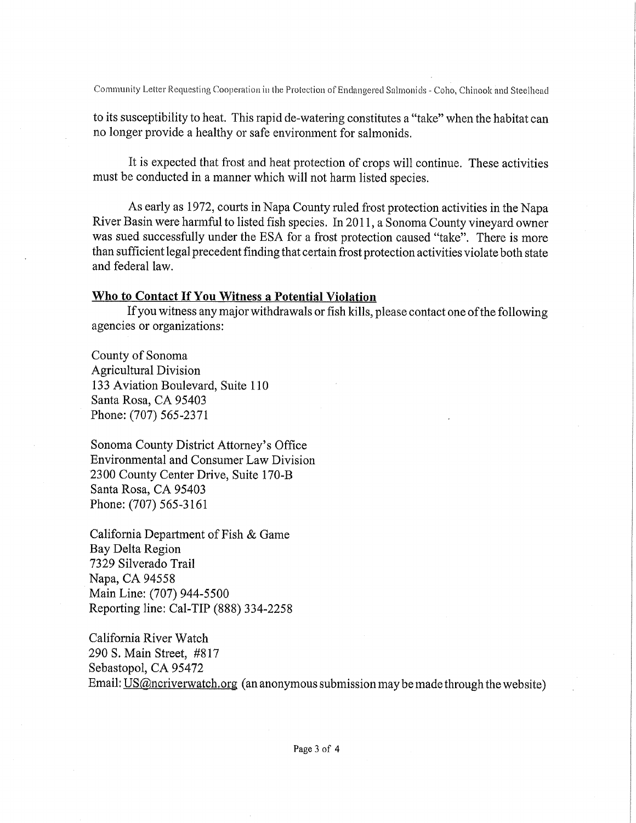Community Letter Requesting Cooperation in the Protection of Endangered Salmonids - Coho, Chinook and Steelhead

to its susceptibility to heat. This rapid de-watering constitutes a "take" when the habitat can no longer provide a healthy or safe environment for salmonids.

It is expected that frost and heat protection of crops will continue. These activities must be conducted in a manner which will not harm listed species.

As early as 1972, courts in Napa County ruled frost protection activities in the Napa River Basin were harmful to listed fish species. In 2011, a Sonoma County vineyard owner was sued successfully under the ESA for a frost protection caused "take". There is more than sufficient legal precedent finding that certain frost protection activities violate both state and federal law.

## Who to Contact If You Witness a Potential Violation

If you witness any major withdrawals or fish kills, please contact one of the following agencies or organizations:

County of Sonoma Agricultural Division 133 Aviation Boulevard, Suite 110 Santa Rosa, CA 95403 Phone: (707) 565-2371

Sonoma County District Attorney's Office Environmental and Consumer Law Division 2300 County Center Drive, Suite 170-B Santa Rosa, CA 95403 Phone: (707) 565-3161

California Department of Fish & Game Bay Delfia Region 7329 Silverado Trail Napa, CA 94558 Main Line: (707) 944-5500 Reporting line: Cal-TIP (888) 334-2258

California River Watch 29Q S. Main Street, #817 Sebastopol, CA 95472 Email: <u>US@ncriverwatch.org</u> (an anonymous submission may be made through the website)